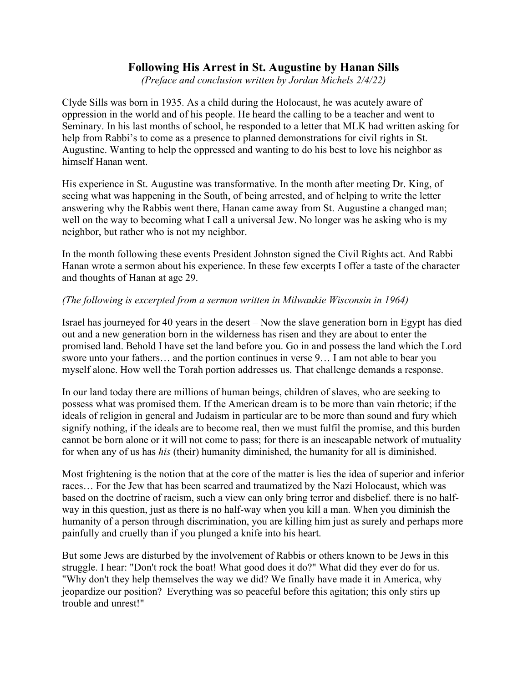## Following His Arrest in St. Augustine by Hanan Sills

(Preface and conclusion written by Jordan Michels 2/4/22)

Clyde Sills was born in 1935. As a child during the Holocaust, he was acutely aware of oppression in the world and of his people. He heard the calling to be a teacher and went to Seminary. In his last months of school, he responded to a letter that MLK had written asking for help from Rabbi's to come as a presence to planned demonstrations for civil rights in St. Augustine. Wanting to help the oppressed and wanting to do his best to love his neighbor as himself Hanan went.

His experience in St. Augustine was transformative. In the month after meeting Dr. King, of seeing what was happening in the South, of being arrested, and of helping to write the letter answering why the Rabbis went there, Hanan came away from St. Augustine a changed man; well on the way to becoming what I call a universal Jew. No longer was he asking who is my neighbor, but rather who is not my neighbor.

In the month following these events President Johnston signed the Civil Rights act. And Rabbi Hanan wrote a sermon about his experience. In these few excerpts I offer a taste of the character and thoughts of Hanan at age 29.

## (The following is excerpted from a sermon written in Milwaukie Wisconsin in 1964)

Israel has journeyed for 40 years in the desert – Now the slave generation born in Egypt has died out and a new generation born in the wilderness has risen and they are about to enter the promised land. Behold I have set the land before you. Go in and possess the land which the Lord swore unto your fathers… and the portion continues in verse 9… I am not able to bear you myself alone. How well the Torah portion addresses us. That challenge demands a response.

In our land today there are millions of human beings, children of slaves, who are seeking to possess what was promised them. If the American dream is to be more than vain rhetoric; if the ideals of religion in general and Judaism in particular are to be more than sound and fury which signify nothing, if the ideals are to become real, then we must fulfil the promise, and this burden cannot be born alone or it will not come to pass; for there is an inescapable network of mutuality for when any of us has his (their) humanity diminished, the humanity for all is diminished.

Most frightening is the notion that at the core of the matter is lies the idea of superior and inferior races… For the Jew that has been scarred and traumatized by the Nazi Holocaust, which was based on the doctrine of racism, such a view can only bring terror and disbelief. there is no halfway in this question, just as there is no half-way when you kill a man. When you diminish the humanity of a person through discrimination, you are killing him just as surely and perhaps more painfully and cruelly than if you plunged a knife into his heart.

But some Jews are disturbed by the involvement of Rabbis or others known to be Jews in this struggle. I hear: "Don't rock the boat! What good does it do?" What did they ever do for us. "Why don't they help themselves the way we did? We finally have made it in America, why jeopardize our position? Everything was so peaceful before this agitation; this only stirs up trouble and unrest!"